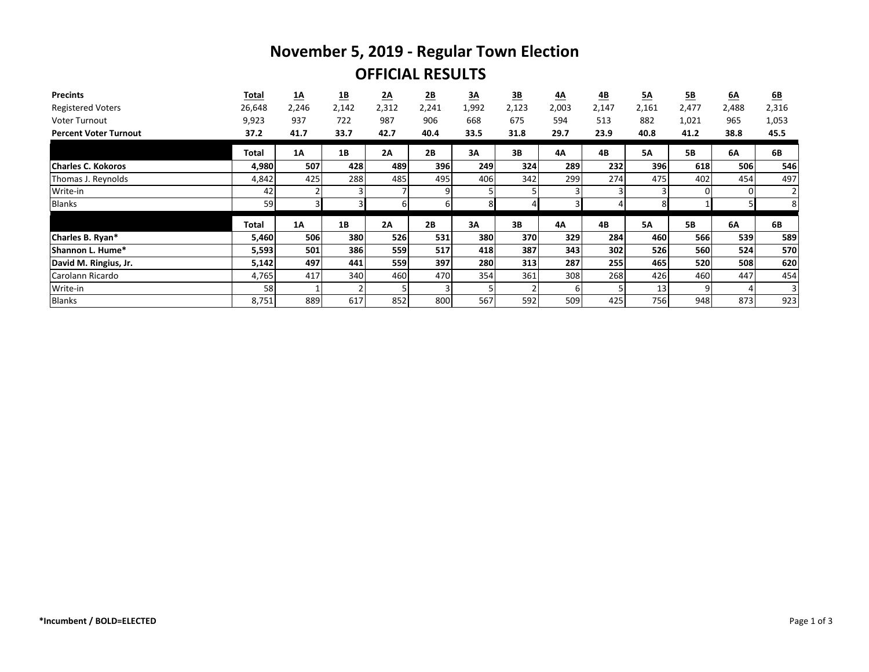## **November 5, 2019 - Regular Town Election OFFICIAL RESULTS**

| <b>Precints</b>              | Total  | $\underline{\mathbf{1}\mathbf{A}}$ | <u>1B</u>      | 2A    | $\underline{\mathbf{2B}}$ | $\underline{3A}$ | $\underline{\mathbf{3B}}$ | 4А    | $\underline{AB}$ | 5A        | <u>5B</u>      | 6A    | 6B             |
|------------------------------|--------|------------------------------------|----------------|-------|---------------------------|------------------|---------------------------|-------|------------------|-----------|----------------|-------|----------------|
| <b>Registered Voters</b>     | 26,648 | 2,246                              | 2,142          | 2,312 | 2,241                     | 1,992            | 2,123                     | 2,003 | 2,147            | 2,161     | 2,477          | 2,488 | 2,316          |
| <b>Voter Turnout</b>         | 9,923  | 937                                | 722            | 987   | 906                       | 668              | 675                       | 594   | 513              | 882       | 1,021          | 965   | 1,053          |
| <b>Percent Voter Turnout</b> | 37.2   | 41.7                               | 33.7           | 42.7  | 40.4                      | 33.5             | 31.8                      | 29.7  | 23.9             | 40.8      | 41.2           | 38.8  | 45.5           |
|                              | Total  | <b>1A</b>                          | 1B             | 2A    | 2B                        | 3A               | 3B                        | 4A    | 4B               | <b>5A</b> | <b>5B</b>      | 6A    | 6B             |
| <b>Charles C. Kokoros</b>    | 4,980  | 507                                | 428            | 489   | 396                       | 249              | 324l                      | 289   | 232              | 396       | 618            | 506   | 546            |
| Thomas J. Reynolds           | 4,842  | 425                                | 288            | 485   | 495                       | 406              | 342                       | 299   | 274              | 475       | 402            | 454   | 497            |
| Write-in                     | 42     |                                    | $\overline{3}$ |       | 9                         | 5                |                           |       |                  |           | 0              | 0     |                |
| <b>Blanks</b>                | 59     |                                    |                | 61    | 61                        | 8 <sup>1</sup>   |                           |       |                  |           |                |       | 8 <sup>1</sup> |
|                              | Total  | <b>1A</b>                          | 1B             | 2A    | 2B                        | 3A               | 3B                        | 4А    | 4B               | <b>5A</b> | <b>5B</b>      | 6A    | 6B             |
| Charles B. Ryan*             | 5,460  | 506                                | 380            | 526   | 531                       | 380              | <b>370</b>                | 329   | 284              | 460       | 566            | 539   | 589            |
| Shannon L. Hume*             | 5,593  | 501                                | 386            | 559   | 517                       | 418              | 387                       | 343   | 302              | 526       | 560            | 524   | 570            |
| David M. Ringius, Jr.        | 5,142  | 497                                | 441            | 559   | 397                       | 280              | 313                       | 287   | 255              | 465       | 520            | 508   | 620            |
| Carolann Ricardo             | 4,765  | 417                                | 340            | 460   | 470                       | 354              | 361                       | 308   | 268              | 426       | 460            | 447   | 454            |
| Write-in                     | 58     |                                    | $\mathcal{P}$  |       |                           | 5                |                           | 6     |                  | 13        | $\overline{9}$ |       | 3              |
| Blanks                       | 8,751  | 889                                | 617            | 852   | 800                       | 567              | 592                       | 509   | 425              | 756       | 948            | 873   | 923            |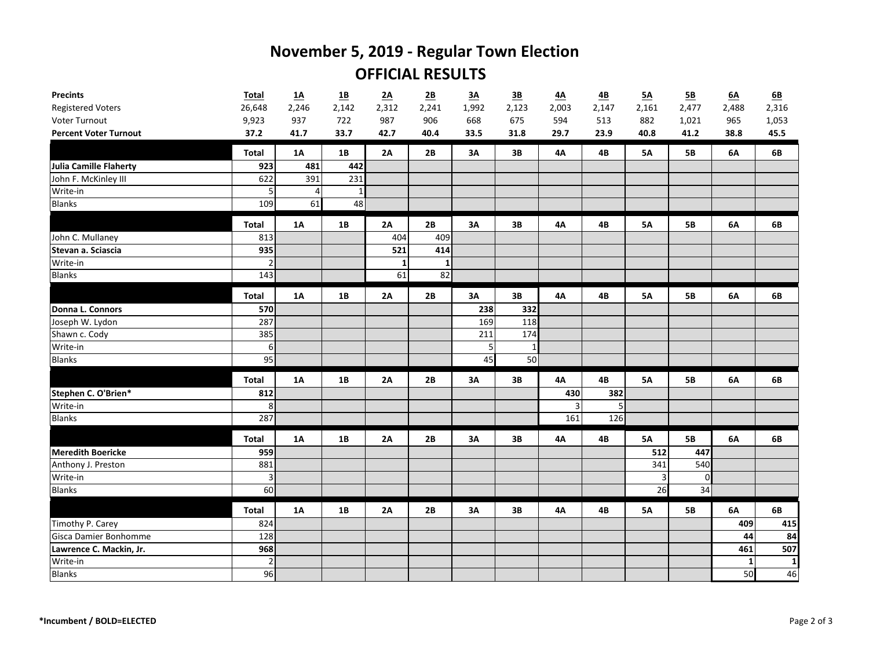## **November 5, 2019 - Regular Town Election OFFICIAL RESULTS**

| <b>Precints</b>              | <b>Total</b>     | $\underline{\mathbf{1}}$ | <u>1B</u>    | 2A    | 2B    | 3A    | $\underline{\mathbf{3B}}$ | 4A        | $\underline{AB}$ | 5A             | 5B        | 6A           | 6 <b>B</b>   |
|------------------------------|------------------|--------------------------|--------------|-------|-------|-------|---------------------------|-----------|------------------|----------------|-----------|--------------|--------------|
| <b>Registered Voters</b>     | 26,648           | 2,246                    | 2,142        | 2,312 | 2,241 | 1,992 | 2,123                     | 2,003     | 2,147            | 2,161          | 2,477     | 2,488        | 2,316        |
| Voter Turnout                | 9,923            | 937                      | 722          | 987   | 906   | 668   | 675                       | 594       | 513              | 882            | 1,021     | 965          | 1,053        |
| <b>Percent Voter Turnout</b> | 37.2             | 41.7                     | 33.7         | 42.7  | 40.4  | 33.5  | 31.8                      | 29.7      | 23.9             | 40.8           | 41.2      | 38.8         | 45.5         |
|                              | <b>Total</b>     | 1A                       | 1B           | 2A    | 2B    | 3A    | 3B                        | <b>4A</b> | 4B               | <b>5A</b>      | <b>5B</b> | 6A           | 6B           |
| Julia Camille Flaherty       | 923              | 481                      | 442          |       |       |       |                           |           |                  |                |           |              |              |
| John F. McKinley III         | 622              | 391                      | 231          |       |       |       |                           |           |                  |                |           |              |              |
| Write-in                     |                  | 4                        | $\mathbf{1}$ |       |       |       |                           |           |                  |                |           |              |              |
| Blanks                       | 109              | 61                       | 48           |       |       |       |                           |           |                  |                |           |              |              |
|                              | <b>Total</b>     | <b>1A</b>                | 1B           | 2A    | 2B    | 3A    | 3B                        | <b>4A</b> | 4B               | <b>5A</b>      | <b>5B</b> | 6A           | 6B           |
| John C. Mullaney             | 813              |                          |              | 404   | 409   |       |                           |           |                  |                |           |              |              |
| Stevan a. Sciascia           | 935              |                          |              | 521   | 414   |       |                           |           |                  |                |           |              |              |
| Write-in                     | $\overline{2}$   |                          |              |       | -1    |       |                           |           |                  |                |           |              |              |
| Blanks                       | 143              |                          |              | 61    | 82    |       |                           |           |                  |                |           |              |              |
|                              | <b>Total</b>     | <b>1A</b>                | 1B           | 2A    | 2B    | 3A    | 3B                        | <b>4A</b> | 4B               | <b>5A</b>      | <b>5B</b> | 6A           | 6B           |
| Donna L. Connors             | 570              |                          |              |       |       | 238   | 332                       |           |                  |                |           |              |              |
| Joseph W. Lydon              | 287              |                          |              |       |       | 169   | 118                       |           |                  |                |           |              |              |
| Shawn c. Cody                | 385              |                          |              |       |       | 211   | 174                       |           |                  |                |           |              |              |
| Write-in                     | $6 \overline{6}$ |                          |              |       |       | 5     |                           |           |                  |                |           |              |              |
| Blanks                       | 95               |                          |              |       |       | 45    | 50                        |           |                  |                |           |              |              |
|                              | <b>Total</b>     | <b>1A</b>                | 1B           | 2A    | 2B    | 3A    | 3B                        | <b>4A</b> | 4B               | <b>5A</b>      | <b>5B</b> | 6A           | 6B           |
| Stephen C. O'Brien*          | 812              |                          |              |       |       |       |                           | 430       | 382              |                |           |              |              |
| Write-in                     | 8 <sup>°</sup>   |                          |              |       |       |       |                           | 3         | 5                |                |           |              |              |
| Blanks                       | 287              |                          |              |       |       |       |                           | 161       | 126              |                |           |              |              |
|                              | <b>Total</b>     | 1A                       | 1B           | 2A    | 2B    | 3A    | 3B                        | <b>4A</b> | <b>4B</b>        | <b>5A</b>      | <b>5B</b> | 6A           | 6B           |
| <b>Meredith Boericke</b>     | 959              |                          |              |       |       |       |                           |           |                  | 512            | 447       |              |              |
| Anthony J. Preston           | 881              |                          |              |       |       |       |                           |           |                  | 341            | 540       |              |              |
| Write-in                     | $\overline{3}$   |                          |              |       |       |       |                           |           |                  | $\overline{3}$ | 0         |              |              |
| Blanks                       | 60               |                          |              |       |       |       |                           |           |                  | 26             | 34        |              |              |
|                              | <b>Total</b>     | <b>1A</b>                | 1B           | 2A    | 2B    | 3A    | 3B                        | <b>4A</b> | 4B               | <b>5A</b>      | <b>5B</b> | 6A           | 6B           |
| Timothy P. Carey             | 824              |                          |              |       |       |       |                           |           |                  |                |           | 409          | 415          |
| Gisca Damier Bonhomme        | 128              |                          |              |       |       |       |                           |           |                  |                |           | 44           | 84           |
| Lawrence C. Mackin, Jr.      | 968              |                          |              |       |       |       |                           |           |                  |                |           | 461          | 507          |
| Write-in                     | $\overline{2}$   |                          |              |       |       |       |                           |           |                  |                |           | $\mathbf{1}$ | $\mathbf{1}$ |
| Blanks                       | 96               |                          |              |       |       |       |                           |           |                  |                |           | 50           | 46           |